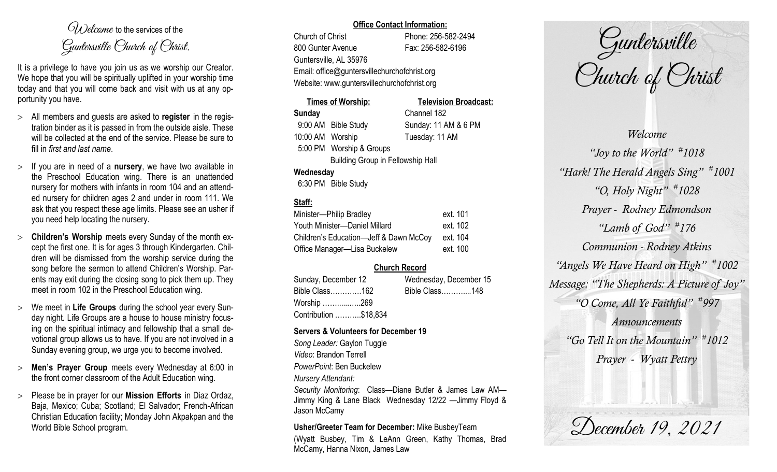$O(\lambda)$  elcame to the services of the Guntersville Church of Christ.

It is a privilege to have you join us as we worship our Creator. We hope that you will be spiritually uplifted in your worship time today and that you will come back and visit with us at any opportunity you have.

- All members and guests are asked to **register** in the registration binder as it is passed in from the outside aisle. These will be collected at the end of the service. Please be sure to fill in *first and last name*.
- $>$  If you are in need of a **nursery**, we have two available in the Preschool Education wing. There is an unattended nursery for mothers with infants in room 104 and an attended nursery for children ages 2 and under in room 111. We ask that you respect these age limits. Please see an usher if you need help locating the nursery.
- **Children's Worship** meets every Sunday of the month except the first one. It is for ages 3 through Kindergarten. Children will be dismissed from the worship service during the song before the sermon to attend Children's Worship. Parents may exit during the closing song to pick them up. They meet in room 102 in the Preschool Education wing.
- We meet in **Life Groups** during the school year every Sunday night. Life Groups are a house to house ministry focusing on the spiritual intimacy and fellowship that a small devotional group allows us to have. If you are not involved in a Sunday evening group, we urge you to become involved.
- **Men's Prayer Group** meets every Wednesday at 6:00 in the front corner classroom of the Adult Education wing.
- Please be in prayer for our **Mission Efforts** in Diaz Ordaz, Baja, Mexico; Cuba; Scotland; El Salvador; French-African Christian Education facility; Monday John Akpakpan and the World Bible School program.

#### **Office Contact Information:**

Church of Christ Phone: 256-582-2494 800 Gunter Avenue Fax: 256-582-6196 Guntersville, AL 35976 Email: office@guntersvillechurchofchrist.org Website: www.guntersvillechurchofchrist.org

# **Times of Worship: Television Broadcast: Sunday** Channel 182 9:00 AM Bible Study Sunday: 11 AM & 6 PM 10:00 AM Worship Tuesday: 11 AM 5:00 PM Worship & Groups Building Group in Fellowship Hall **Wednesday**

6:30 PM Bible Study

# **Staff:**

| Minister-Philip Bradley                | ext. 101 |
|----------------------------------------|----------|
| Youth Minister-Daniel Millard          | ext. 102 |
| Children's Education-Jeff & Dawn McCoy | ext. 104 |
| Office Manager-Lisa Buckelew           | ext. 100 |

# **Church Record**

| Sunday, December 12   |  | Wednesday, December 15 |  |
|-----------------------|--|------------------------|--|
| Bible Class162        |  | Bible Class148         |  |
| Worship 269           |  |                        |  |
| Contribution \$18,834 |  |                        |  |

### **Servers & Volunteers for December 19**

*Song Leader:* Gaylon Tuggle *Video*: Brandon Terrell *PowerPoint*: Ben Buckelew *Nursery Attendant: Security Monitoring*: Class—Diane Butler & James Law AM—

Jimmy King & Lane Black Wednesday 12/22 —Jimmy Floyd & Jason McCamy

**Usher/Greeter Team for December:** Mike BusbeyTeam

(Wyatt Busbey, Tim & LeAnn Green, Kathy Thomas, Brad McCamy, Hanna Nixon, James Law

Guntersville Church of Christ

*Welcome "Joy to the World" # 1018 "Hark! The Herald Angels Sing" # 1001 "O, Holy Night" # 1028 Prayer - Rodney Edmondson "Lamb of God" # 176 Communion - Rodney Atkins "Angels We Have Heard on High" # 1002 Message: "The Shepherds: A Picture of Joy" "O Come, All Ye Faithful" # 997 Announcements "Go Tell It on the Mountain" # 1012 Prayer - Wyatt Pettry*

December 19, 2021